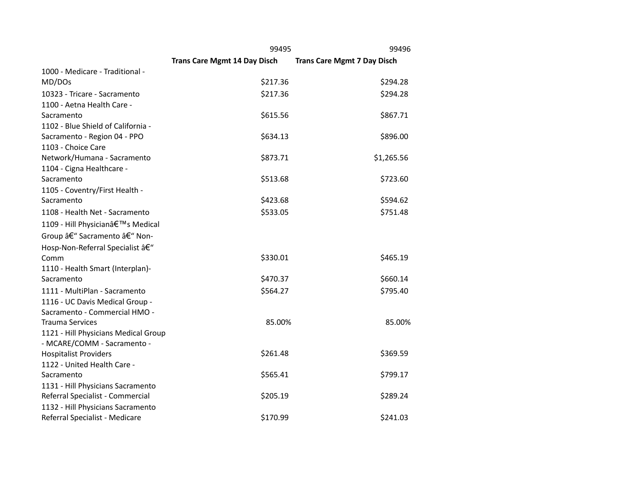|                                      | 99495                               | 99496                              |
|--------------------------------------|-------------------------------------|------------------------------------|
|                                      | <b>Trans Care Mgmt 14 Day Disch</b> | <b>Trans Care Mgmt 7 Day Disch</b> |
| 1000 - Medicare - Traditional -      |                                     |                                    |
| MD/DOs                               | \$217.36                            | \$294.28                           |
| 10323 - Tricare - Sacramento         | \$217.36                            | \$294.28                           |
| 1100 - Aetna Health Care -           |                                     |                                    |
| Sacramento                           | \$615.56                            | \$867.71                           |
| 1102 - Blue Shield of California -   |                                     |                                    |
| Sacramento - Region 04 - PPO         | \$634.13                            | \$896.00                           |
| 1103 - Choice Care                   |                                     |                                    |
| Network/Humana - Sacramento          | \$873.71                            | \$1,265.56                         |
| 1104 - Cigna Healthcare -            |                                     |                                    |
| Sacramento                           | \$513.68                            | \$723.60                           |
| 1105 - Coventry/First Health -       |                                     |                                    |
| Sacramento                           | \$423.68                            | \$594.62                           |
| 1108 - Health Net - Sacramento       | \$533.05                            | \$751.48                           |
| 1109 - Hill Physician's Medical      |                                     |                                    |
| Group – Sacramento – Non-            |                                     |                                    |
| Hosp-Non-Referral Specialist â€"     |                                     |                                    |
| Comm                                 | \$330.01                            | \$465.19                           |
| 1110 - Health Smart (Interplan)-     |                                     |                                    |
| Sacramento                           | \$470.37                            | \$660.14                           |
| 1111 - MultiPlan - Sacramento        | \$564.27                            | \$795.40                           |
| 1116 - UC Davis Medical Group -      |                                     |                                    |
| Sacramento - Commercial HMO -        |                                     |                                    |
| <b>Trauma Services</b>               | 85.00%                              | 85.00%                             |
| 1121 - Hill Physicians Medical Group |                                     |                                    |
| - MCARE/COMM - Sacramento -          |                                     |                                    |
| <b>Hospitalist Providers</b>         | \$261.48                            | \$369.59                           |
| 1122 - United Health Care -          |                                     |                                    |
| Sacramento                           | \$565.41                            | \$799.17                           |
| 1131 - Hill Physicians Sacramento    |                                     |                                    |
| Referral Specialist - Commercial     | \$205.19                            | \$289.24                           |
| 1132 - Hill Physicians Sacramento    |                                     |                                    |
| Referral Specialist - Medicare       | \$170.99                            | \$241.03                           |